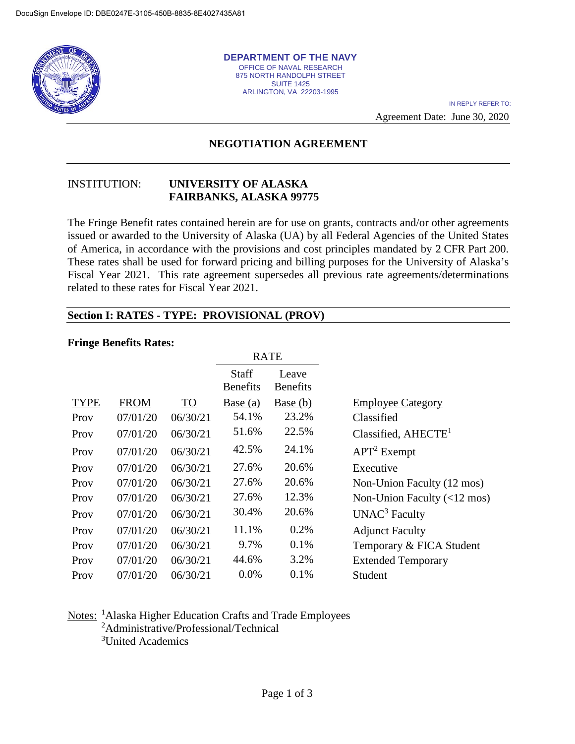

**DEPARTMENT OF THE NAVY** OFFICE OF NAVAL RESEARCH 875 NORTH RANDOLPH STREET SUITE 1425 ARLINGTON, VA 22203-1995

IN REPLY REFER TO:

Agreement Date: June 30, 2020

# **NEGOTIATION AGREEMENT**

#### INSTITUTION: **UNIVERSITY OF ALASKA FAIRBANKS, ALASKA 99775**

The Fringe Benefit rates contained herein are for use on grants, contracts and/or other agreements issued or awarded to the University of Alaska (UA) by all Federal Agencies of the United States of America, in accordance with the provisions and cost principles mandated by 2 CFR Part 200. These rates shall be used for forward pricing and billing purposes for the University of Alaska's Fiscal Year 2021. This rate agreement supersedes all previous rate agreements/determinations related to these rates for Fiscal Year 2021.

#### **Section I: RATES - TYPE: PROVISIONAL (PROV)**

#### **Fringe Benefits Rates:**

|             |             |           | <b>RATE</b>                     |                          |                                              |
|-------------|-------------|-----------|---------------------------------|--------------------------|----------------------------------------------|
|             |             |           | <b>Staff</b><br><b>Benefits</b> | Leave<br><b>Benefits</b> |                                              |
| <b>TYPE</b> | <b>FROM</b> | <b>TO</b> | Base $(a)$                      | Base (b)                 | <b>Employee Category</b>                     |
| Prov        | 07/01/20    | 06/30/21  | 54.1%                           | 23.2%                    | Classified                                   |
| Prov        | 07/01/20    | 06/30/21  | 51.6%                           | 22.5%                    | Classified, $AHECTE1$                        |
| Prov        | 07/01/20    | 06/30/21  | 42.5%                           | 24.1%                    | $APT2$ Exempt                                |
| Prov        | 07/01/20    | 06/30/21  | 27.6%                           | 20.6%                    | Executive                                    |
| Prov        | 07/01/20    | 06/30/21  | 27.6%                           | 20.6%                    | Non-Union Faculty (12 mos)                   |
| Prov        | 07/01/20    | 06/30/21  | 27.6%                           | 12.3%                    | Non-Union Faculty $(\langle 12 \text{ mos})$ |
| Prov        | 07/01/20    | 06/30/21  | 30.4%                           | 20.6%                    | UNAC <sup>3</sup> Faculty                    |
| Prov        | 07/01/20    | 06/30/21  | 11.1%                           | 0.2%                     | <b>Adjunct Faculty</b>                       |
| Prov        | 07/01/20    | 06/30/21  | 9.7%                            | 0.1%                     | Temporary & FICA Student                     |
| Prov        | 07/01/20    | 06/30/21  | 44.6%                           | 3.2%                     | <b>Extended Temporary</b>                    |
| Prov        | 07/01/20    | 06/30/21  | 0.0%                            | 0.1%                     | Student                                      |

### Notes: <sup>1</sup>Alaska Higher Education Crafts and Trade Employees 2 Administrative/Professional/Technical

3 United Academics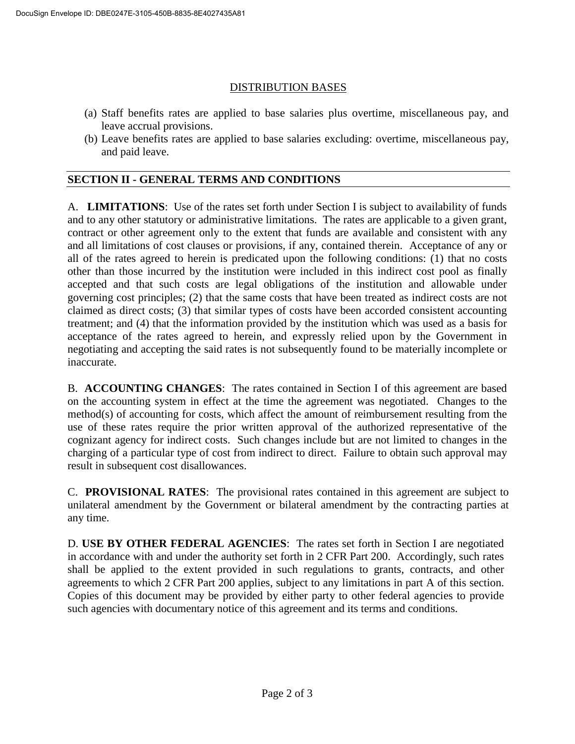## DISTRIBUTION BASES

- (a) Staff benefits rates are applied to base salaries plus overtime, miscellaneous pay, and leave accrual provisions.
- (b) Leave benefits rates are applied to base salaries excluding: overtime, miscellaneous pay, and paid leave.

### **SECTION II - GENERAL TERMS AND CONDITIONS**

A. **LIMITATIONS**: Use of the rates set forth under Section I is subject to availability of funds and to any other statutory or administrative limitations. The rates are applicable to a given grant, contract or other agreement only to the extent that funds are available and consistent with any and all limitations of cost clauses or provisions, if any, contained therein. Acceptance of any or all of the rates agreed to herein is predicated upon the following conditions: (1) that no costs other than those incurred by the institution were included in this indirect cost pool as finally accepted and that such costs are legal obligations of the institution and allowable under governing cost principles; (2) that the same costs that have been treated as indirect costs are not claimed as direct costs; (3) that similar types of costs have been accorded consistent accounting treatment; and (4) that the information provided by the institution which was used as a basis for acceptance of the rates agreed to herein, and expressly relied upon by the Government in negotiating and accepting the said rates is not subsequently found to be materially incomplete or inaccurate.

B. **ACCOUNTING CHANGES**: The rates contained in Section I of this agreement are based on the accounting system in effect at the time the agreement was negotiated. Changes to the method(s) of accounting for costs, which affect the amount of reimbursement resulting from the use of these rates require the prior written approval of the authorized representative of the cognizant agency for indirect costs. Such changes include but are not limited to changes in the charging of a particular type of cost from indirect to direct. Failure to obtain such approval may result in subsequent cost disallowances.

C. **PROVISIONAL RATES**: The provisional rates contained in this agreement are subject to unilateral amendment by the Government or bilateral amendment by the contracting parties at any time.

D. **USE BY OTHER FEDERAL AGENCIES**: The rates set forth in Section I are negotiated in accordance with and under the authority set forth in 2 CFR Part 200. Accordingly, such rates shall be applied to the extent provided in such regulations to grants, contracts, and other agreements to which 2 CFR Part 200 applies, subject to any limitations in part A of this section. Copies of this document may be provided by either party to other federal agencies to provide such agencies with documentary notice of this agreement and its terms and conditions.